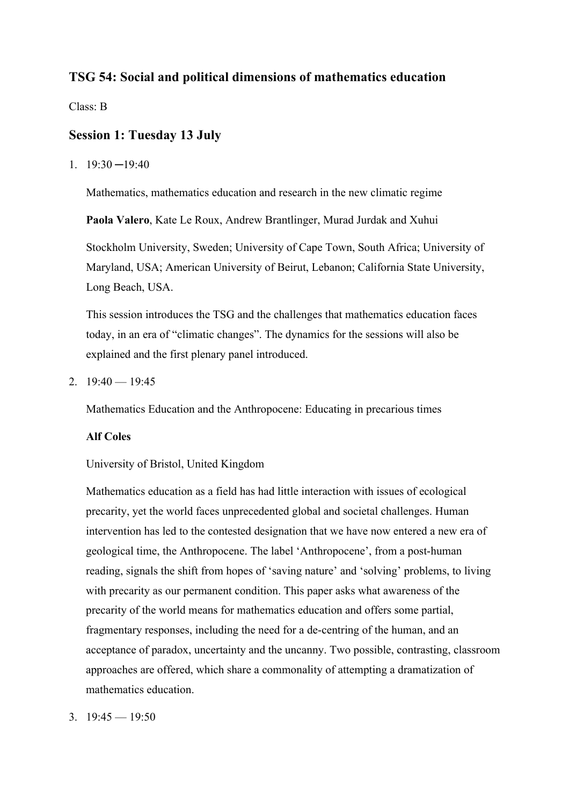# **TSG 54: Social and political dimensions of mathematics education**

Class: B

# **Session 1: Tuesday 13 July**

 $1. \quad 19:30 - 19:40$ 

Mathematics, mathematics education and research in the new climatic regime

**Paola Valero**, Kate Le Roux, Andrew Brantlinger, Murad Jurdak and Xuhui

Stockholm University, Sweden; University of Cape Town, South Africa; University of Maryland, USA; American University of Beirut, Lebanon; California State University, Long Beach, USA.

This session introduces the TSG and the challenges that mathematics education faces today, in an era of "climatic changes". The dynamics for the sessions will also be explained and the first plenary panel introduced.

2.  $19:40 - 19:45$ 

Mathematics Education and the Anthropocene: Educating in precarious times

## **Alf Coles**

University of Bristol, United Kingdom

Mathematics education as a field has had little interaction with issues of ecological precarity, yet the world faces unprecedented global and societal challenges. Human intervention has led to the contested designation that we have now entered a new era of geological time, the Anthropocene. The label 'Anthropocene', from a post-human reading, signals the shift from hopes of 'saving nature' and 'solving' problems, to living with precarity as our permanent condition. This paper asks what awareness of the precarity of the world means for mathematics education and offers some partial, fragmentary responses, including the need for a de-centring of the human, and an acceptance of paradox, uncertainty and the uncanny. Two possible, contrasting, classroom approaches are offered, which share a commonality of attempting a dramatization of mathematics education.

3.  $19:45 - 19:50$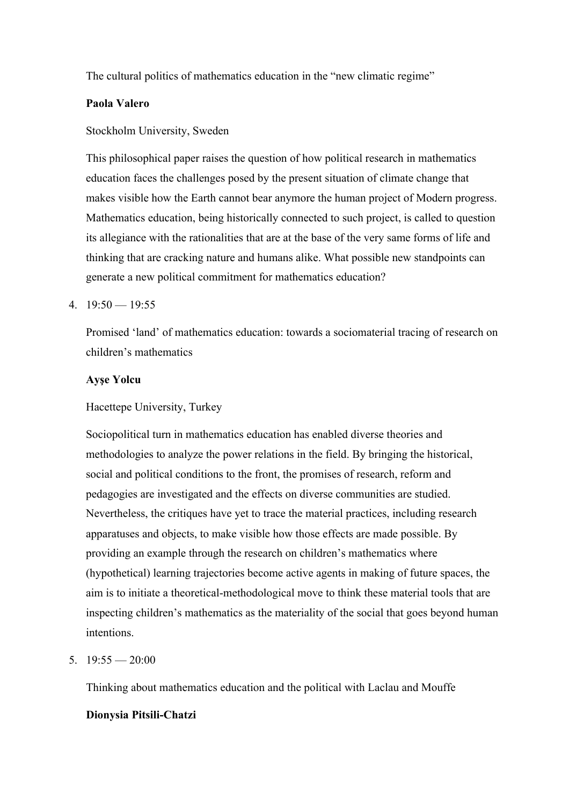The cultural politics of mathematics education in the "new climatic regime"

# **Paola Valero**

## Stockholm University, Sweden

This philosophical paper raises the question of how political research in mathematics education faces the challenges posed by the present situation of climate change that makes visible how the Earth cannot bear anymore the human project of Modern progress. Mathematics education, being historically connected to such project, is called to question its allegiance with the rationalities that are at the base of the very same forms of life and thinking that are cracking nature and humans alike. What possible new standpoints can generate a new political commitment for mathematics education?

## 4.  $19:50 - 19:55$

Promised 'land' of mathematics education: towards a sociomaterial tracing of research on children's mathematics

### **Ayşe Yolcu**

### Hacettepe University, Turkey

Sociopolitical turn in mathematics education has enabled diverse theories and methodologies to analyze the power relations in the field. By bringing the historical, social and political conditions to the front, the promises of research, reform and pedagogies are investigated and the effects on diverse communities are studied. Nevertheless, the critiques have yet to trace the material practices, including research apparatuses and objects, to make visible how those effects are made possible. By providing an example through the research on children's mathematics where (hypothetical) learning trajectories become active agents in making of future spaces, the aim is to initiate a theoretical-methodological move to think these material tools that are inspecting children's mathematics as the materiality of the social that goes beyond human intentions.

### 5.  $19:55 - 20:00$

Thinking about mathematics education and the political with Laclau and Mouffe

# **Dionysia Pitsili-Chatzi**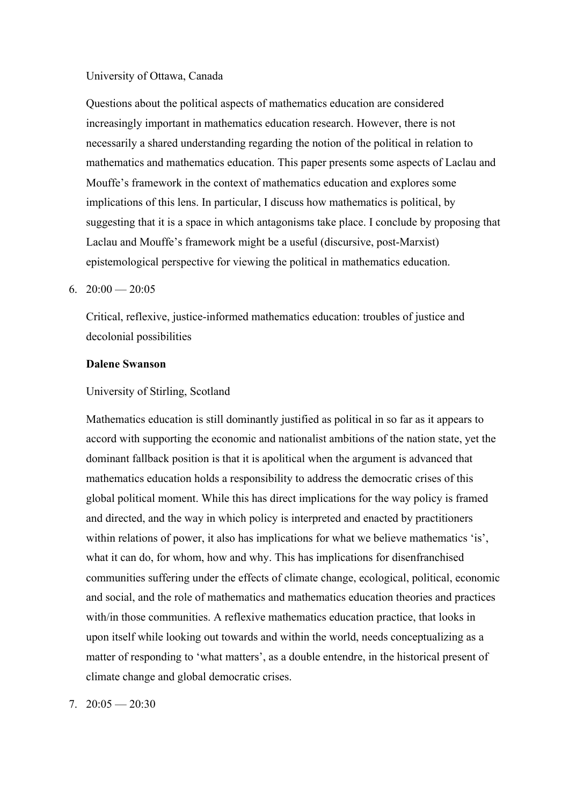### University of Ottawa, Canada

Questions about the political aspects of mathematics education are considered increasingly important in mathematics education research. However, there is not necessarily a shared understanding regarding the notion of the political in relation to mathematics and mathematics education. This paper presents some aspects of Laclau and Mouffe's framework in the context of mathematics education and explores some implications of this lens. In particular, I discuss how mathematics is political, by suggesting that it is a space in which antagonisms take place. I conclude by proposing that Laclau and Mouffe's framework might be a useful (discursive, post-Marxist) epistemological perspective for viewing the political in mathematics education.

### 6.  $20:00 - 20:05$

Critical, reflexive, justice-informed mathematics education: troubles of justice and decolonial possibilities

### **Dalene Swanson**

#### University of Stirling, Scotland

Mathematics education is still dominantly justified as political in so far as it appears to accord with supporting the economic and nationalist ambitions of the nation state, yet the dominant fallback position is that it is apolitical when the argument is advanced that mathematics education holds a responsibility to address the democratic crises of this global political moment. While this has direct implications for the way policy is framed and directed, and the way in which policy is interpreted and enacted by practitioners within relations of power, it also has implications for what we believe mathematics 'is', what it can do, for whom, how and why. This has implications for disenfranchised communities suffering under the effects of climate change, ecological, political, economic and social, and the role of mathematics and mathematics education theories and practices with/in those communities. A reflexive mathematics education practice, that looks in upon itself while looking out towards and within the world, needs conceptualizing as a matter of responding to 'what matters', as a double entendre, in the historical present of climate change and global democratic crises.

#### 7.  $20:05 - 20:30$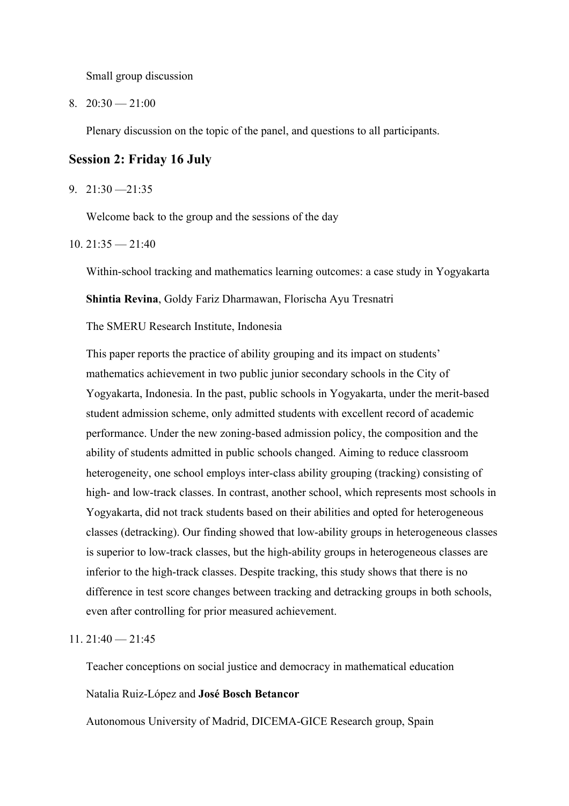Small group discussion

 $8. \quad 20:30 \longrightarrow 21:00$ 

Plenary discussion on the topic of the panel, and questions to all participants.

# **Session 2: Friday 16 July**

9. 21:30 —21:35

Welcome back to the group and the sessions of the day

#### $10.21:35 - 21:40$

Within-school tracking and mathematics learning outcomes: a case study in Yogyakarta

**Shintia Revina**, Goldy Fariz Dharmawan, Florischa Ayu Tresnatri

The SMERU Research Institute, Indonesia

This paper reports the practice of ability grouping and its impact on students' mathematics achievement in two public junior secondary schools in the City of Yogyakarta, Indonesia. In the past, public schools in Yogyakarta, under the merit-based student admission scheme, only admitted students with excellent record of academic performance. Under the new zoning-based admission policy, the composition and the ability of students admitted in public schools changed. Aiming to reduce classroom heterogeneity, one school employs inter-class ability grouping (tracking) consisting of high- and low-track classes. In contrast, another school, which represents most schools in Yogyakarta, did not track students based on their abilities and opted for heterogeneous classes (detracking). Our finding showed that low-ability groups in heterogeneous classes is superior to low-track classes, but the high-ability groups in heterogeneous classes are inferior to the high-track classes. Despite tracking, this study shows that there is no difference in test score changes between tracking and detracking groups in both schools, even after controlling for prior measured achievement.

### $11.21:40 - 21:45$

Teacher conceptions on social justice and democracy in mathematical education

#### Natalia Ruiz-López and **José Bosch Betancor**

Autonomous University of Madrid, DICEMA-GICE Research group, Spain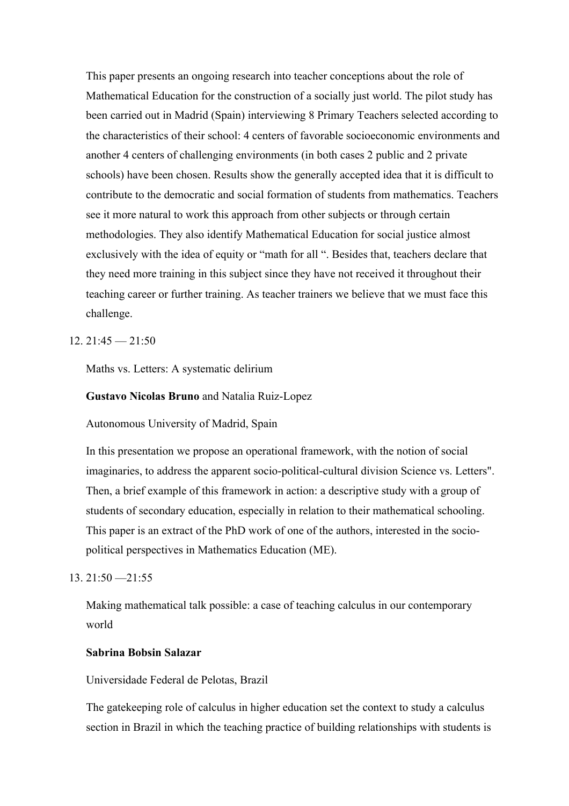This paper presents an ongoing research into teacher conceptions about the role of Mathematical Education for the construction of a socially just world. The pilot study has been carried out in Madrid (Spain) interviewing 8 Primary Teachers selected according to the characteristics of their school: 4 centers of favorable socioeconomic environments and another 4 centers of challenging environments (in both cases 2 public and 2 private schools) have been chosen. Results show the generally accepted idea that it is difficult to contribute to the democratic and social formation of students from mathematics. Teachers see it more natural to work this approach from other subjects or through certain methodologies. They also identify Mathematical Education for social justice almost exclusively with the idea of equity or "math for all ". Besides that, teachers declare that they need more training in this subject since they have not received it throughout their teaching career or further training. As teacher trainers we believe that we must face this challenge.

### $12.21:45 - 21:50$

Maths vs. Letters: A systematic delirium

#### **Gustavo Nicolas Bruno** and Natalia Ruiz-Lopez

Autonomous University of Madrid, Spain

In this presentation we propose an operational framework, with the notion of social imaginaries, to address the apparent socio-political-cultural division Science vs. Letters". Then, a brief example of this framework in action: a descriptive study with a group of students of secondary education, especially in relation to their mathematical schooling. This paper is an extract of the PhD work of one of the authors, interested in the sociopolitical perspectives in Mathematics Education (ME).

### $13.21:50 - 21:55$

Making mathematical talk possible: a case of teaching calculus in our contemporary world

### **Sabrina Bobsin Salazar**

Universidade Federal de Pelotas, Brazil

The gatekeeping role of calculus in higher education set the context to study a calculus section in Brazil in which the teaching practice of building relationships with students is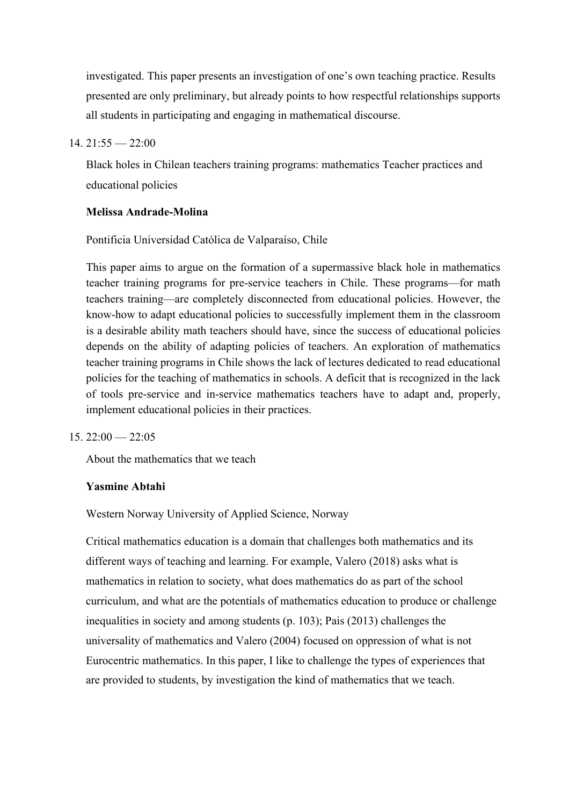investigated. This paper presents an investigation of one's own teaching practice. Results presented are only preliminary, but already points to how respectful relationships supports all students in participating and engaging in mathematical discourse.

### $14.21:55 - 22:00$

Black holes in Chilean teachers training programs: mathematics Teacher practices and educational policies

### **Melissa Andrade-Molina**

Pontificia Universidad Católica de Valparaíso, Chile

This paper aims to argue on the formation of a supermassive black hole in mathematics teacher training programs for pre-service teachers in Chile. These programs—for math teachers training—are completely disconnected from educational policies. However, the know-how to adapt educational policies to successfully implement them in the classroom is a desirable ability math teachers should have, since the success of educational policies depends on the ability of adapting policies of teachers. An exploration of mathematics teacher training programs in Chile shows the lack of lectures dedicated to read educational policies for the teaching of mathematics in schools. A deficit that is recognized in the lack of tools pre-service and in-service mathematics teachers have to adapt and, properly, implement educational policies in their practices.

#### $15.22:00 - 22:05$

About the mathematics that we teach

### **Yasmine Abtahi**

Western Norway University of Applied Science, Norway

Critical mathematics education is a domain that challenges both mathematics and its different ways of teaching and learning. For example, Valero (2018) asks what is mathematics in relation to society, what does mathematics do as part of the school curriculum, and what are the potentials of mathematics education to produce or challenge inequalities in society and among students (p. 103); Pais (2013) challenges the universality of mathematics and Valero (2004) focused on oppression of what is not Eurocentric mathematics. In this paper, I like to challenge the types of experiences that are provided to students, by investigation the kind of mathematics that we teach.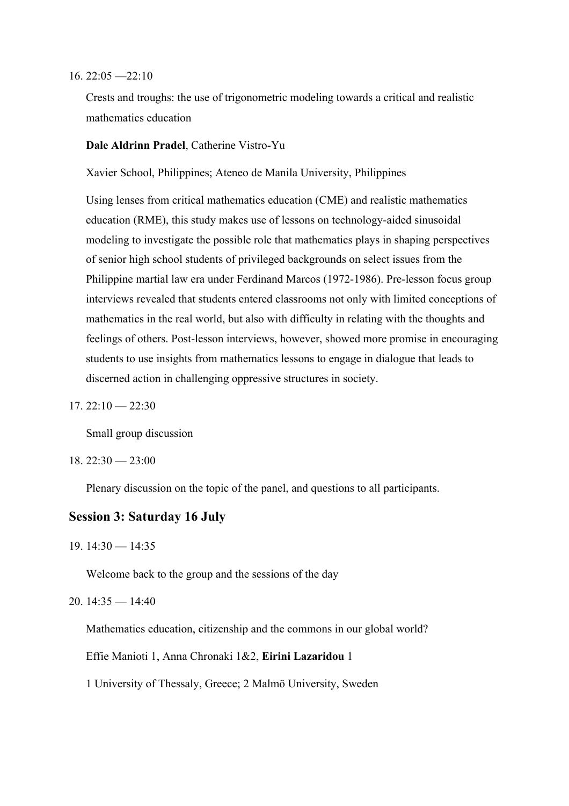#### $16. 22:05 - 22:10$

Crests and troughs: the use of trigonometric modeling towards a critical and realistic mathematics education

### **Dale Aldrinn Pradel**, Catherine Vistro-Yu

Xavier School, Philippines; Ateneo de Manila University, Philippines

Using lenses from critical mathematics education (CME) and realistic mathematics education (RME), this study makes use of lessons on technology-aided sinusoidal modeling to investigate the possible role that mathematics plays in shaping perspectives of senior high school students of privileged backgrounds on select issues from the Philippine martial law era under Ferdinand Marcos (1972-1986). Pre-lesson focus group interviews revealed that students entered classrooms not only with limited conceptions of mathematics in the real world, but also with difficulty in relating with the thoughts and feelings of others. Post-lesson interviews, however, showed more promise in encouraging students to use insights from mathematics lessons to engage in dialogue that leads to discerned action in challenging oppressive structures in society.

 $17.22:10 - 22:30$ 

Small group discussion

 $18. 22:30 - 23:00$ 

Plenary discussion on the topic of the panel, and questions to all participants.

### **Session 3: Saturday 16 July**

 $19.14:30 - 14:35$ 

Welcome back to the group and the sessions of the day

20.  $14:35 - 14:40$ 

Mathematics education, citizenship and the commons in our global world?

Effie Manioti 1, Anna Chronaki 1&2, **Eirini Lazaridou** 1

1 University of Thessaly, Greece; 2 Malmö University, Sweden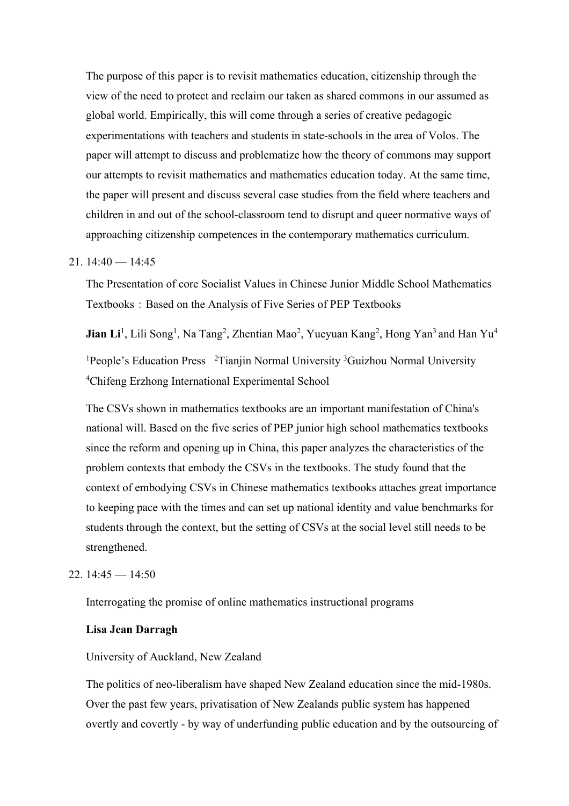The purpose of this paper is to revisit mathematics education, citizenship through the view of the need to protect and reclaim our taken as shared commons in our assumed as global world. Empirically, this will come through a series of creative pedagogic experimentations with teachers and students in state-schools in the area of Volos. The paper will attempt to discuss and problematize how the theory of commons may support our attempts to revisit mathematics and mathematics education today. At the same time, the paper will present and discuss several case studies from the field where teachers and children in and out of the school-classroom tend to disrupt and queer normative ways of approaching citizenship competences in the contemporary mathematics curriculum.

### 21.  $14:40 - 14:45$

The Presentation of core Socialist Values in Chinese Junior Middle School Mathematics Textbooks: Based on the Analysis of Five Series of PEP Textbooks

**Jian Li**<sup>1</sup>, Lili Song<sup>1</sup>, Na Tang<sup>2</sup>, Zhentian Mao<sup>2</sup>, Yueyuan Kang<sup>2</sup>, Hong Yan<sup>3</sup> and Han Yu<sup>4</sup> <sup>1</sup>People's Education Press <sup>2</sup>Tianjin Normal University <sup>3</sup>Guizhou Normal University 4 Chifeng Erzhong International Experimental School

The CSVs shown in mathematics textbooks are an important manifestation of China's national will. Based on the five series of PEP junior high school mathematics textbooks since the reform and opening up in China, this paper analyzes the characteristics of the problem contexts that embody the CSVs in the textbooks. The study found that the context of embodying CSVs in Chinese mathematics textbooks attaches great importance to keeping pace with the times and can set up national identity and value benchmarks for students through the context, but the setting of CSVs at the social level still needs to be strengthened.

#### 22.  $14:45 - 14:50$

Interrogating the promise of online mathematics instructional programs

### **Lisa Jean Darragh**

### University of Auckland, New Zealand

The politics of neo-liberalism have shaped New Zealand education since the mid-1980s. Over the past few years, privatisation of New Zealands public system has happened overtly and covertly - by way of underfunding public education and by the outsourcing of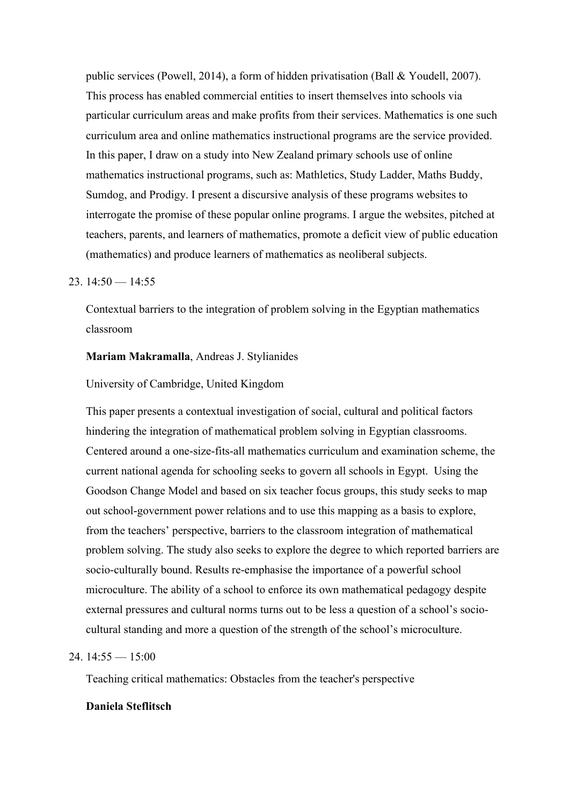public services (Powell, 2014), a form of hidden privatisation (Ball & Youdell, 2007). This process has enabled commercial entities to insert themselves into schools via particular curriculum areas and make profits from their services. Mathematics is one such curriculum area and online mathematics instructional programs are the service provided. In this paper, I draw on a study into New Zealand primary schools use of online mathematics instructional programs, such as: Mathletics, Study Ladder, Maths Buddy, Sumdog, and Prodigy. I present a discursive analysis of these programs websites to interrogate the promise of these popular online programs. I argue the websites, pitched at teachers, parents, and learners of mathematics, promote a deficit view of public education (mathematics) and produce learners of mathematics as neoliberal subjects.

#### 23.  $14:50 - 14:55$

Contextual barriers to the integration of problem solving in the Egyptian mathematics classroom

### **Mariam Makramalla**, Andreas J. Stylianides

University of Cambridge, United Kingdom

This paper presents a contextual investigation of social, cultural and political factors hindering the integration of mathematical problem solving in Egyptian classrooms. Centered around a one-size-fits-all mathematics curriculum and examination scheme, the current national agenda for schooling seeks to govern all schools in Egypt. Using the Goodson Change Model and based on six teacher focus groups, this study seeks to map out school-government power relations and to use this mapping as a basis to explore, from the teachers' perspective, barriers to the classroom integration of mathematical problem solving. The study also seeks to explore the degree to which reported barriers are socio-culturally bound. Results re-emphasise the importance of a powerful school microculture. The ability of a school to enforce its own mathematical pedagogy despite external pressures and cultural norms turns out to be less a question of a school's sociocultural standing and more a question of the strength of the school's microculture.

### $24.14:55 - 15:00$

Teaching critical mathematics: Obstacles from the teacher's perspective

#### **Daniela Steflitsch**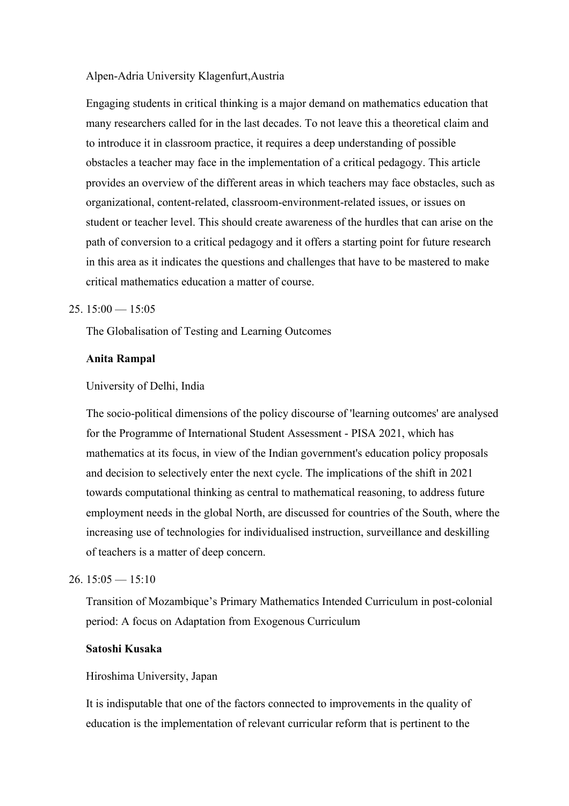#### Alpen-Adria University Klagenfurt,Austria

Engaging students in critical thinking is a major demand on mathematics education that many researchers called for in the last decades. To not leave this a theoretical claim and to introduce it in classroom practice, it requires a deep understanding of possible obstacles a teacher may face in the implementation of a critical pedagogy. This article provides an overview of the different areas in which teachers may face obstacles, such as organizational, content-related, classroom-environment-related issues, or issues on student or teacher level. This should create awareness of the hurdles that can arise on the path of conversion to a critical pedagogy and it offers a starting point for future research in this area as it indicates the questions and challenges that have to be mastered to make critical mathematics education a matter of course.

### $25. 15:00 - 15:05$

The Globalisation of Testing and Learning Outcomes

#### **Anita Rampal**

#### University of Delhi, India

The socio-political dimensions of the policy discourse of 'learning outcomes' are analysed for the Programme of International Student Assessment - PISA 2021, which has mathematics at its focus, in view of the Indian government's education policy proposals and decision to selectively enter the next cycle. The implications of the shift in 2021 towards computational thinking as central to mathematical reasoning, to address future employment needs in the global North, are discussed for countries of the South, where the increasing use of technologies for individualised instruction, surveillance and deskilling of teachers is a matter of deep concern.

#### $26.15:05 - 15:10$

Transition of Mozambique's Primary Mathematics Intended Curriculum in post-colonial period: A focus on Adaptation from Exogenous Curriculum

### **Satoshi Kusaka**

#### Hiroshima University, Japan

It is indisputable that one of the factors connected to improvements in the quality of education is the implementation of relevant curricular reform that is pertinent to the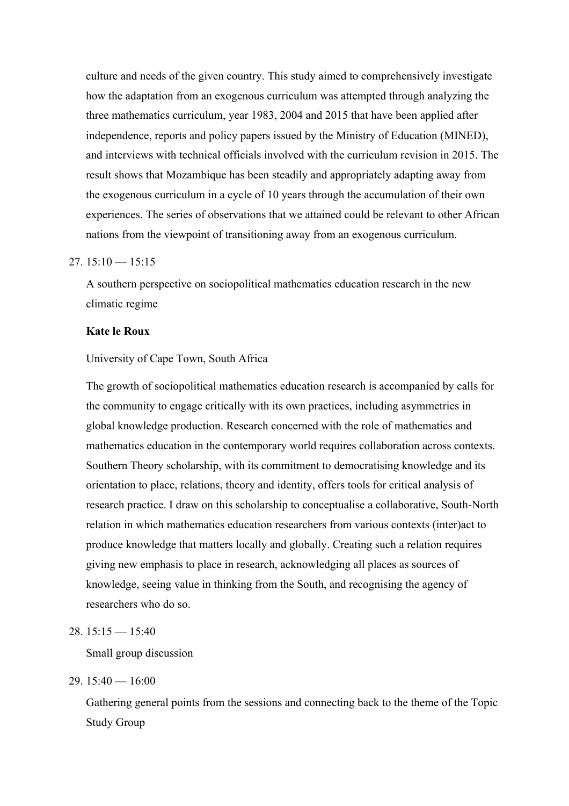culture and needs of the given country. This study aimed to comprehensively investigate how the adaptation from an exogenous curriculum was attempted through analyzing the three mathematics curriculum, year 1983, 2004 and 2015 that have been applied after independence, reports and policy papers issued by the Ministry of Education (MINED), and interviews with technical officials involved with the curriculum revision in 2015. The result shows that Mozambique has been steadily and appropriately adapting away from the exogenous curriculum in a cycle of 10 years through the accumulation of their own experiences. The series of observations that we attained could be relevant to other African nations from the viewpoint of transitioning away from an exogenous curriculum.

#### $27.15:10 - 15:15$

A southern perspective on sociopolitical mathematics education research in the new climatic regime

### **Kate le Roux**

### University of Cape Town, South Africa

The growth of sociopolitical mathematics education research is accompanied by calls for the community to engage critically with its own practices, including asymmetries in global knowledge production. Research concerned with the role of mathematics and mathematics education in the contemporary world requires collaboration across contexts. Southern Theory scholarship, with its commitment to democratising knowledge and its orientation to place, relations, theory and identity, offers tools for critical analysis of research practice. I draw on this scholarship to conceptualise a collaborative, South-North relation in which mathematics education researchers from various contexts (inter)act to produce knowledge that matters locally and globally. Creating such a relation requires giving new emphasis to place in research, acknowledging all places as sources of knowledge, seeing value in thinking from the South, and recognising the agency of researchers who do so.

### 28.  $15:15 - 15:40$

Small group discussion

### 29.  $15:40 - 16:00$

Gathering general points from the sessions and connecting back to the theme of the Topic Study Group